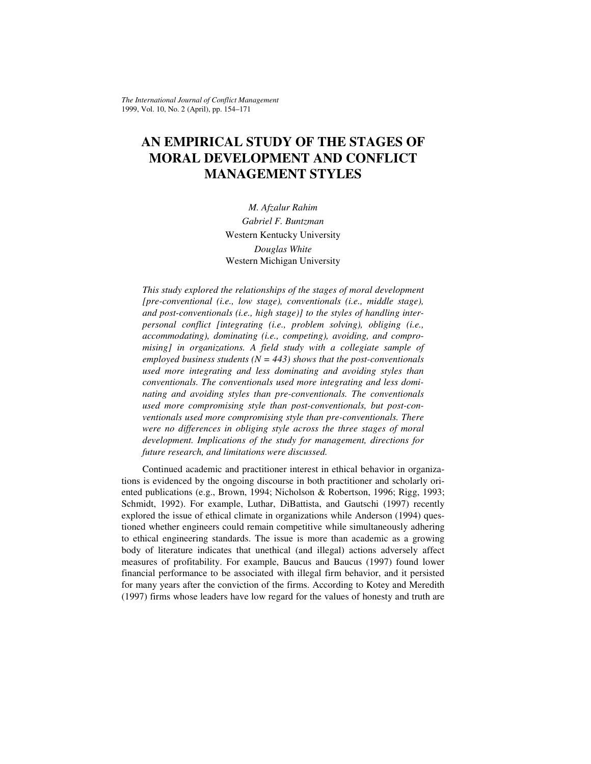*The International Journal of Conflict Management*  1999, Vol. 10, No. 2 (April), pp. 154–171

# **AN EMPIRICAL STUDY OF THE STAGES OF MORAL DEVELOPMENT AND CONFLICT MANAGEMENT STYLES**

*M. Afzalur Rahim Gabriel F. Buntzman*  Western Kentucky University *Douglas White*  Western Michigan University

*This study explored the relationships of the stages of moral development [pre-conventional (i.e., low stage), conventionals (i.e., middle stage), and post-conventionals (i.e., high stage)] to the styles of handling interpersonal conflict [integrating (i.e., problem solving), obliging (i.e., accommodating), dominating (i.e., competing), avoiding, and compromising] in organizations. A field study with a collegiate sample of employed business students (N = 443) shows that the post-conventionals used more integrating and less dominating and avoiding styles than conventionals. The conventionals used more integrating and less dominating and avoiding styles than pre-conventionals. The conventionals used more compromising style than post-conventionals, but post-conventionals used more compromising style than pre-conventionals. There were no differences in obliging style across the three stages of moral development. Implications of the study for management, directions for future research, and limitations were discussed.* 

Continued academic and practitioner interest in ethical behavior in organizations is evidenced by the ongoing discourse in both practitioner and scholarly oriented publications (e.g., Brown, 1994; Nicholson & Robertson, 1996; Rigg, 1993; Schmidt, 1992). For example, Luthar, DiBattista, and Gautschi (1997) recently explored the issue of ethical climate in organizations while Anderson (1994) questioned whether engineers could remain competitive while simultaneously adhering to ethical engineering standards. The issue is more than academic as a growing body of literature indicates that unethical (and illegal) actions adversely affect measures of profitability. For example, Baucus and Baucus (1997) found lower financial performance to be associated with illegal firm behavior, and it persisted for many years after the conviction of the firms. According to Kotey and Meredith (1997) firms whose leaders have low regard for the values of honesty and truth are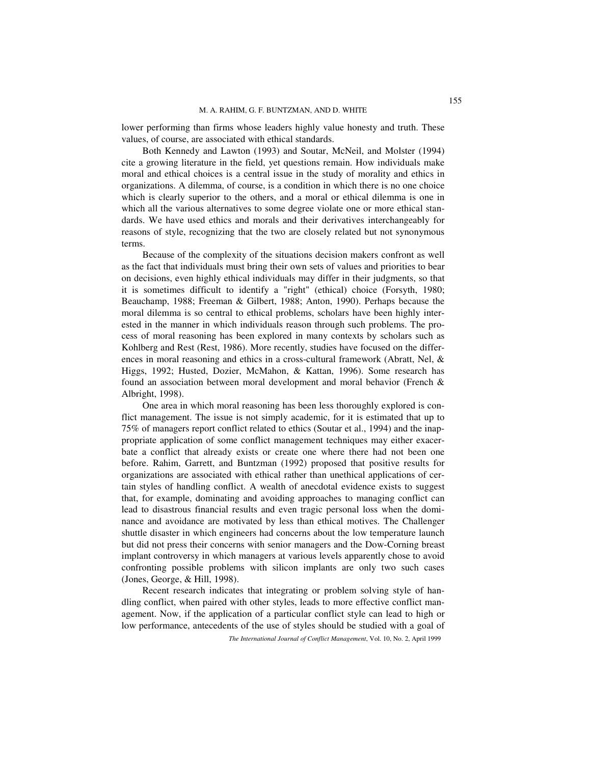lower performing than firms whose leaders highly value honesty and truth. These values, of course, are associated with ethical standards.

Both Kennedy and Lawton (1993) and Soutar, McNeil, and Molster (1994) cite a growing literature in the field, yet questions remain. How individuals make moral and ethical choices is a central issue in the study of morality and ethics in organizations. A dilemma, of course, is a condition in which there is no one choice which is clearly superior to the others, and a moral or ethical dilemma is one in which all the various alternatives to some degree violate one or more ethical standards. We have used ethics and morals and their derivatives interchangeably for reasons of style, recognizing that the two are closely related but not synonymous terms.

Because of the complexity of the situations decision makers confront as well as the fact that individuals must bring their own sets of values and priorities to bear on decisions, even highly ethical individuals may differ in their judgments, so that it is sometimes difficult to identify a "right" (ethical) choice (Forsyth, 1980; Beauchamp, 1988; Freeman & Gilbert, 1988; Anton, 1990). Perhaps because the moral dilemma is so central to ethical problems, scholars have been highly interested in the manner in which individuals reason through such problems. The process of moral reasoning has been explored in many contexts by scholars such as Kohlberg and Rest (Rest, 1986). More recently, studies have focused on the differences in moral reasoning and ethics in a cross-cultural framework (Abratt, Nel, & Higgs, 1992; Husted, Dozier, McMahon, & Kattan, 1996). Some research has found an association between moral development and moral behavior (French & Albright, 1998).

One area in which moral reasoning has been less thoroughly explored is conflict management. The issue is not simply academic, for it is estimated that up to 75% of managers report conflict related to ethics (Soutar et al., 1994) and the inappropriate application of some conflict management techniques may either exacerbate a conflict that already exists or create one where there had not been one before. Rahim, Garrett, and Buntzman (1992) proposed that positive results for organizations are associated with ethical rather than unethical applications of certain styles of handling conflict. A wealth of anecdotal evidence exists to suggest that, for example, dominating and avoiding approaches to managing conflict can lead to disastrous financial results and even tragic personal loss when the dominance and avoidance are motivated by less than ethical motives. The Challenger shuttle disaster in which engineers had concerns about the low temperature launch but did not press their concerns with senior managers and the Dow-Corning breast implant controversy in which managers at various levels apparently chose to avoid confronting possible problems with silicon implants are only two such cases (Jones, George, & Hill, 1998).

Recent research indicates that integrating or problem solving style of handling conflict, when paired with other styles, leads to more effective conflict management. Now, if the application of a particular conflict style can lead to high or low performance, antecedents of the use of styles should be studied with a goal of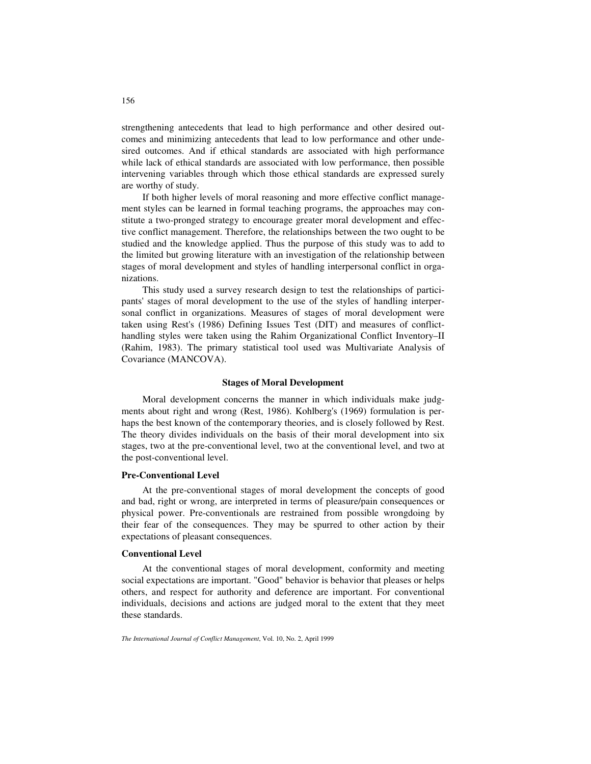strengthening antecedents that lead to high performance and other desired outcomes and minimizing antecedents that lead to low performance and other undesired outcomes. And if ethical standards are associated with high performance while lack of ethical standards are associated with low performance, then possible intervening variables through which those ethical standards are expressed surely are worthy of study.

If both higher levels of moral reasoning and more effective conflict management styles can be learned in formal teaching programs, the approaches may constitute a two-pronged strategy to encourage greater moral development and effective conflict management. Therefore, the relationships between the two ought to be studied and the knowledge applied. Thus the purpose of this study was to add to the limited but growing literature with an investigation of the relationship between stages of moral development and styles of handling interpersonal conflict in organizations.

This study used a survey research design to test the relationships of participants' stages of moral development to the use of the styles of handling interpersonal conflict in organizations. Measures of stages of moral development were taken using Rest's (1986) Defining Issues Test (DIT) and measures of conflicthandling styles were taken using the Rahim Organizational Conflict Inventory–II (Rahim, 1983). The primary statistical tool used was Multivariate Analysis of Covariance (MANCOVA).

#### **Stages of Moral Development**

Moral development concerns the manner in which individuals make judgments about right and wrong (Rest, 1986). Kohlberg's (1969) formulation is perhaps the best known of the contemporary theories, and is closely followed by Rest. The theory divides individuals on the basis of their moral development into six stages, two at the pre-conventional level, two at the conventional level, and two at the post-conventional level.

### **Pre-Conventional Level**

At the pre-conventional stages of moral development the concepts of good and bad, right or wrong, are interpreted in terms of pleasure/pain consequences or physical power. Pre-conventionals are restrained from possible wrongdoing by their fear of the consequences. They may be spurred to other action by their expectations of pleasant consequences.

#### **Conventional Level**

At the conventional stages of moral development, conformity and meeting social expectations are important. "Good" behavior is behavior that pleases or helps others, and respect for authority and deference are important. For conventional individuals, decisions and actions are judged moral to the extent that they meet these standards.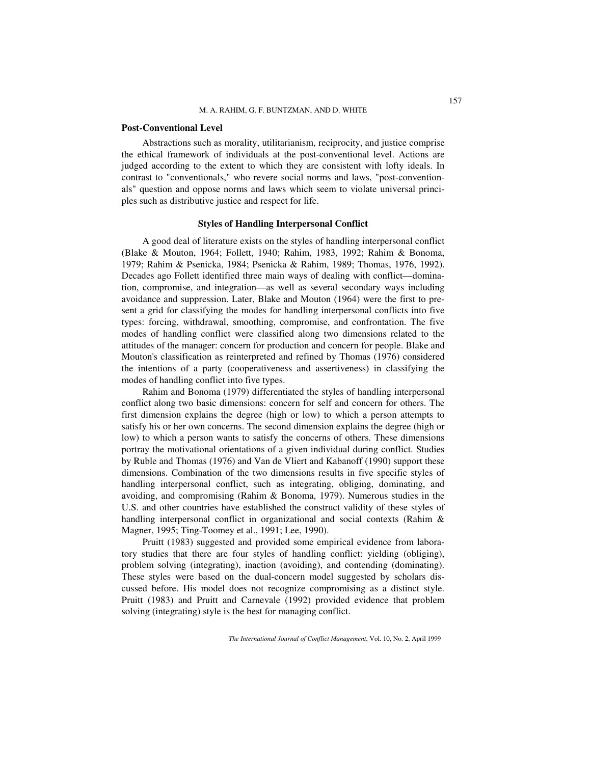#### **Post-Conventional Level**

Abstractions such as morality, utilitarianism, reciprocity, and justice comprise the ethical framework of individuals at the post-conventional level. Actions are judged according to the extent to which they are consistent with lofty ideals. In contrast to "conventionals," who revere social norms and laws, "post-conventionals" question and oppose norms and laws which seem to violate universal principles such as distributive justice and respect for life.

#### **Styles of Handling Interpersonal Conflict**

A good deal of literature exists on the styles of handling interpersonal conflict (Blake & Mouton, 1964; Follett, 1940; Rahim, 1983, 1992; Rahim & Bonoma, 1979; Rahim & Psenicka, 1984; Psenicka & Rahim, 1989; Thomas, 1976, 1992). Decades ago Follett identified three main ways of dealing with conflict––domination, compromise, and integration––as well as several secondary ways including avoidance and suppression. Later, Blake and Mouton (1964) were the first to present a grid for classifying the modes for handling interpersonal conflicts into five types: forcing, withdrawal, smoothing, compromise, and confrontation. The five modes of handling conflict were classified along two dimensions related to the attitudes of the manager: concern for production and concern for people. Blake and Mouton's classification as reinterpreted and refined by Thomas (1976) considered the intentions of a party (cooperativeness and assertiveness) in classifying the modes of handling conflict into five types.

Rahim and Bonoma (1979) differentiated the styles of handling interpersonal conflict along two basic dimensions: concern for self and concern for others. The first dimension explains the degree (high or low) to which a person attempts to satisfy his or her own concerns. The second dimension explains the degree (high or low) to which a person wants to satisfy the concerns of others. These dimensions portray the motivational orientations of a given individual during conflict. Studies by Ruble and Thomas (1976) and Van de Vliert and Kabanoff (1990) support these dimensions. Combination of the two dimensions results in five specific styles of handling interpersonal conflict, such as integrating, obliging, dominating, and avoiding, and compromising (Rahim & Bonoma, 1979). Numerous studies in the U.S. and other countries have established the construct validity of these styles of handling interpersonal conflict in organizational and social contexts (Rahim & Magner, 1995; Ting-Toomey et al., 1991; Lee, 1990).

Pruitt (1983) suggested and provided some empirical evidence from laboratory studies that there are four styles of handling conflict: yielding (obliging), problem solving (integrating), inaction (avoiding), and contending (dominating). These styles were based on the dual-concern model suggested by scholars discussed before. His model does not recognize compromising as a distinct style. Pruitt (1983) and Pruitt and Carnevale (1992) provided evidence that problem solving (integrating) style is the best for managing conflict.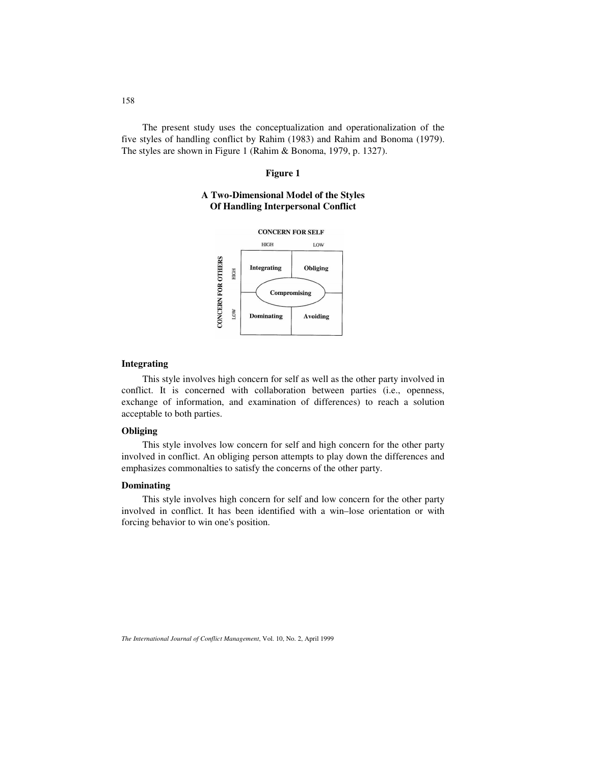The present study uses the conceptualization and operationalization of the five styles of handling conflict by Rahim (1983) and Rahim and Bonoma (1979). The styles are shown in Figure 1 (Rahim & Bonoma, 1979, p. 1327).

#### **Figure 1**

# **A Two-Dimensional Model of the Styles Of Handling Interpersonal Conflict**



### **Integrating**

This style involves high concern for self as well as the other party involved in conflict. It is concerned with collaboration between parties (i.e., openness, exchange of information, and examination of differences) to reach a solution acceptable to both parties.

# **Obliging**

This style involves low concern for self and high concern for the other party involved in conflict. An obliging person attempts to play down the differences and emphasizes commonalties to satisfy the concerns of the other party.

#### **Dominating**

This style involves high concern for self and low concern for the other party involved in conflict. It has been identified with a win–lose orientation or with forcing behavior to win one's position.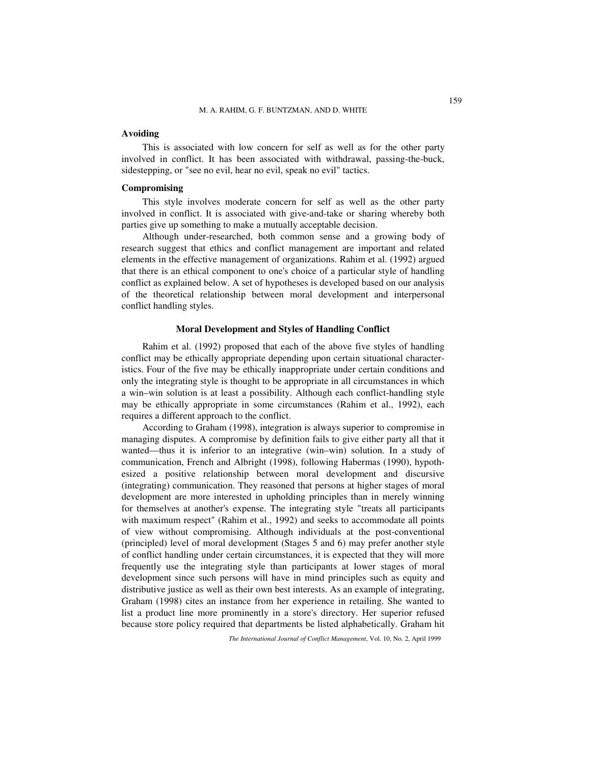### **Avoiding**

This is associated with low concern for self as well as for the other party involved in conflict. It has been associated with withdrawal, passing-the-buck, sidestepping, or "see no evil, hear no evil, speak no evil" tactics.

#### **Compromising**

This style involves moderate concern for self as well as the other party involved in conflict. It is associated with give-and-take or sharing whereby both parties give up something to make a mutually acceptable decision.

Although under-researched, both common sense and a growing body of research suggest that ethics and conflict management are important and related elements in the effective management of organizations. Rahim et al. (1992) argued that there is an ethical component to one's choice of a particular style of handling conflict as explained below. A set of hypotheses is developed based on our analysis of the theoretical relationship between moral development and interpersonal conflict handling styles.

#### **Moral Development and Styles of Handling Conflict**

Rahim et al. (1992) proposed that each of the above five styles of handling conflict may be ethically appropriate depending upon certain situational characteristics. Four of the five may be ethically inappropriate under certain conditions and only the integrating style is thought to be appropriate in all circumstances in which a win–win solution is at least a possibility. Although each conflict-handling style may be ethically appropriate in some circumstances (Rahim et al., 1992), each requires a different approach to the conflict.

According to Graham (1998), integration is always superior to compromise in managing disputes. A compromise by definition fails to give either party all that it wanted––thus it is inferior to an integrative (win–win) solution. In a study of communication, French and Albright (1998), following Habermas (1990), hypothesized a positive relationship between moral development and discursive (integrating) communication. They reasoned that persons at higher stages of moral development are more interested in upholding principles than in merely winning for themselves at another's expense. The integrating style "treats all participants with maximum respect" (Rahim et al., 1992) and seeks to accommodate all points of view without compromising. Although individuals at the post-conventional (principled) level of moral development (Stages 5 and 6) may prefer another style of conflict handling under certain circumstances, it is expected that they will more frequently use the integrating style than participants at lower stages of moral development since such persons will have in mind principles such as equity and distributive justice as well as their own best interests. As an example of integrating, Graham (1998) cites an instance from her experience in retailing. She wanted to list a product line more prominently in a store's directory. Her superior refused because store policy required that departments be listed alphabetically. Graham hit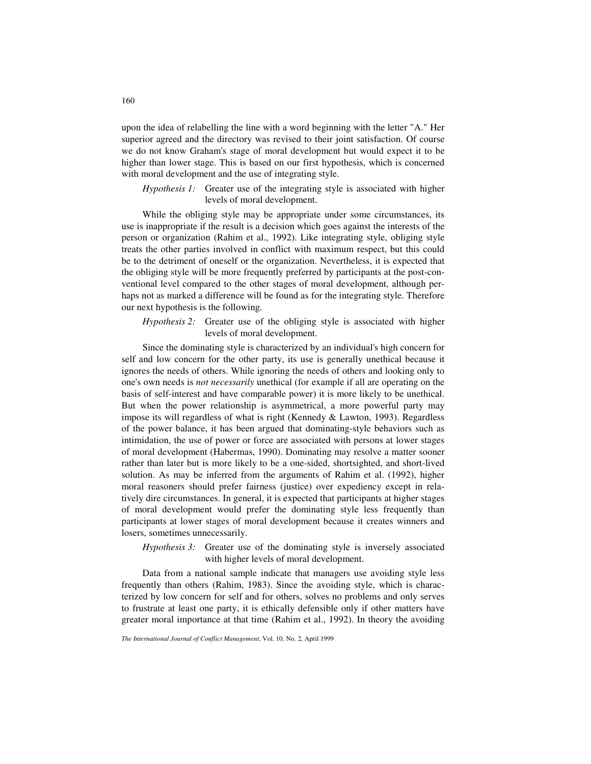upon the idea of relabelling the line with a word beginning with the letter "A." Her superior agreed and the directory was revised to their joint satisfaction. Of course we do not know Graham's stage of moral development but would expect it to be higher than lower stage. This is based on our first hypothesis, which is concerned with moral development and the use of integrating style.

### *Hypothesis 1:* Greater use of the integrating style is associated with higher levels of moral development.

While the obliging style may be appropriate under some circumstances, its use is inappropriate if the result is a decision which goes against the interests of the person or organization (Rahim et al., 1992). Like integrating style, obliging style treats the other parties involved in conflict with maximum respect, but this could be to the detriment of oneself or the organization. Nevertheless, it is expected that the obliging style will be more frequently preferred by participants at the post-conventional level compared to the other stages of moral development, although perhaps not as marked a difference will be found as for the integrating style. Therefore our next hypothesis is the following.

*Hypothesis 2:* Greater use of the obliging style is associated with higher levels of moral development.

Since the dominating style is characterized by an individual's high concern for self and low concern for the other party, its use is generally unethical because it ignores the needs of others. While ignoring the needs of others and looking only to one's own needs is *not necessarily* unethical (for example if all are operating on the basis of self-interest and have comparable power) it is more likely to be unethical. But when the power relationship is asymmetrical, a more powerful party may impose its will regardless of what is right (Kennedy & Lawton, 1993). Regardless of the power balance, it has been argued that dominating-style behaviors such as intimidation, the use of power or force are associated with persons at lower stages of moral development (Habermas, 1990). Dominating may resolve a matter sooner rather than later but is more likely to be a one-sided, shortsighted, and short-lived solution. As may be inferred from the arguments of Rahim et al. (1992), higher moral reasoners should prefer fairness (justice) over expediency except in relatively dire circumstances. In general, it is expected that participants at higher stages of moral development would prefer the dominating style less frequently than participants at lower stages of moral development because it creates winners and losers, sometimes unnecessarily.

*Hypothesis 3:* Greater use of the dominating style is inversely associated with higher levels of moral development.

Data from a national sample indicate that managers use avoiding style less frequently than others (Rahim, 1983). Since the avoiding style, which is characterized by low concern for self and for others, solves no problems and only serves to frustrate at least one party, it is ethically defensible only if other matters have greater moral importance at that time (Rahim et al., 1992). In theory the avoiding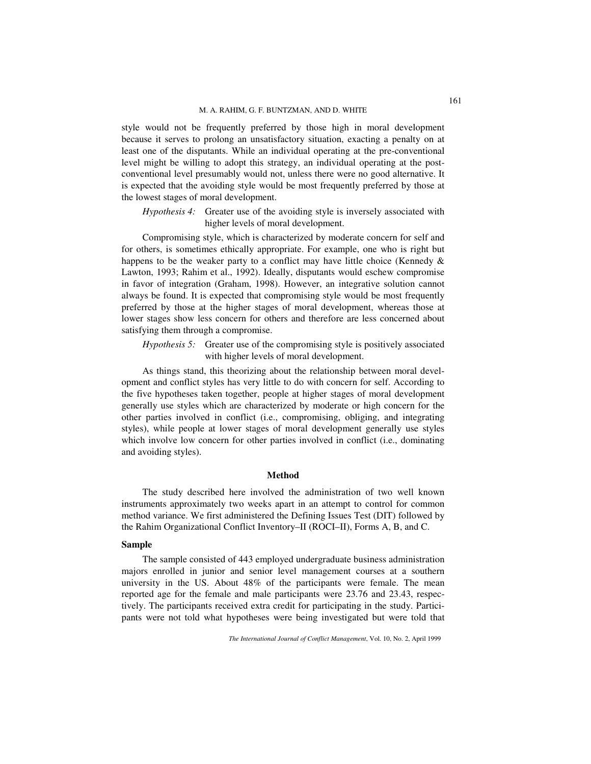style would not be frequently preferred by those high in moral development because it serves to prolong an unsatisfactory situation, exacting a penalty on at least one of the disputants. While an individual operating at the pre-conventional level might be willing to adopt this strategy, an individual operating at the postconventional level presumably would not, unless there were no good alternative. It is expected that the avoiding style would be most frequently preferred by those at the lowest stages of moral development.

*Hypothesis 4:* Greater use of the avoiding style is inversely associated with higher levels of moral development.

Compromising style, which is characterized by moderate concern for self and for others, is sometimes ethically appropriate. For example, one who is right but happens to be the weaker party to a conflict may have little choice (Kennedy  $\&$ Lawton, 1993; Rahim et al., 1992). Ideally, disputants would eschew compromise in favor of integration (Graham, 1998). However, an integrative solution cannot always be found. It is expected that compromising style would be most frequently preferred by those at the higher stages of moral development, whereas those at lower stages show less concern for others and therefore are less concerned about satisfying them through a compromise.

*Hypothesis 5:* Greater use of the compromising style is positively associated with higher levels of moral development.

As things stand, this theorizing about the relationship between moral development and conflict styles has very little to do with concern for self. According to the five hypotheses taken together, people at higher stages of moral development generally use styles which are characterized by moderate or high concern for the other parties involved in conflict (i.e., compromising, obliging, and integrating styles), while people at lower stages of moral development generally use styles which involve low concern for other parties involved in conflict (i.e., dominating and avoiding styles).

#### **Method**

The study described here involved the administration of two well known instruments approximately two weeks apart in an attempt to control for common method variance. We first administered the Defining Issues Test (DIT) followed by the Rahim Organizational Conflict Inventory–II (ROCI–II), Forms A, B, and C.

#### **Sample**

The sample consisted of 443 employed undergraduate business administration majors enrolled in junior and senior level management courses at a southern university in the US. About 48% of the participants were female. The mean reported age for the female and male participants were 23.76 and 23.43, respectively. The participants received extra credit for participating in the study. Participants were not told what hypotheses were being investigated but were told that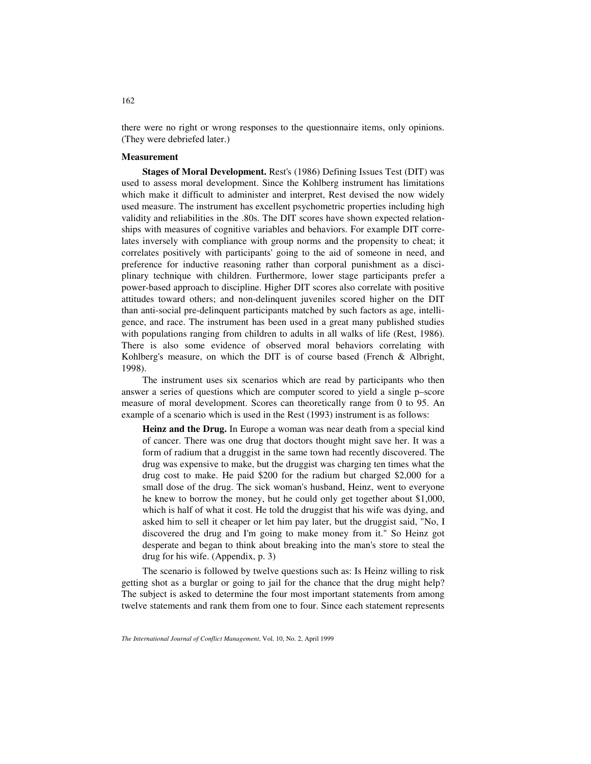there were no right or wrong responses to the questionnaire items, only opinions. (They were debriefed later.)

#### **Measurement**

**Stages of Moral Development.** Rest's (1986) Defining Issues Test (DIT) was used to assess moral development. Since the Kohlberg instrument has limitations which make it difficult to administer and interpret, Rest devised the now widely used measure. The instrument has excellent psychometric properties including high validity and reliabilities in the .80s. The DIT scores have shown expected relationships with measures of cognitive variables and behaviors. For example DIT correlates inversely with compliance with group norms and the propensity to cheat; it correlates positively with participants' going to the aid of someone in need, and preference for inductive reasoning rather than corporal punishment as a disciplinary technique with children. Furthermore, lower stage participants prefer a power-based approach to discipline. Higher DIT scores also correlate with positive attitudes toward others; and non-delinquent juveniles scored higher on the DIT than anti-social pre-delinquent participants matched by such factors as age, intelligence, and race. The instrument has been used in a great many published studies with populations ranging from children to adults in all walks of life (Rest, 1986). There is also some evidence of observed moral behaviors correlating with Kohlberg's measure, on which the DIT is of course based (French & Albright, 1998).

The instrument uses six scenarios which are read by participants who then answer a series of questions which are computer scored to yield a single p–score measure of moral development. Scores can theoretically range from 0 to 95. An example of a scenario which is used in the Rest (1993) instrument is as follows:

**Heinz and the Drug.** In Europe a woman was near death from a special kind of cancer. There was one drug that doctors thought might save her. It was a form of radium that a druggist in the same town had recently discovered. The drug was expensive to make, but the druggist was charging ten times what the drug cost to make. He paid \$200 for the radium but charged \$2,000 for a small dose of the drug. The sick woman's husband, Heinz, went to everyone he knew to borrow the money, but he could only get together about \$1,000, which is half of what it cost. He told the druggist that his wife was dying, and asked him to sell it cheaper or let him pay later, but the druggist said, "No, I discovered the drug and I'm going to make money from it." So Heinz got desperate and began to think about breaking into the man's store to steal the drug for his wife. (Appendix, p. 3)

The scenario is followed by twelve questions such as: Is Heinz willing to risk getting shot as a burglar or going to jail for the chance that the drug might help? The subject is asked to determine the four most important statements from among twelve statements and rank them from one to four. Since each statement represents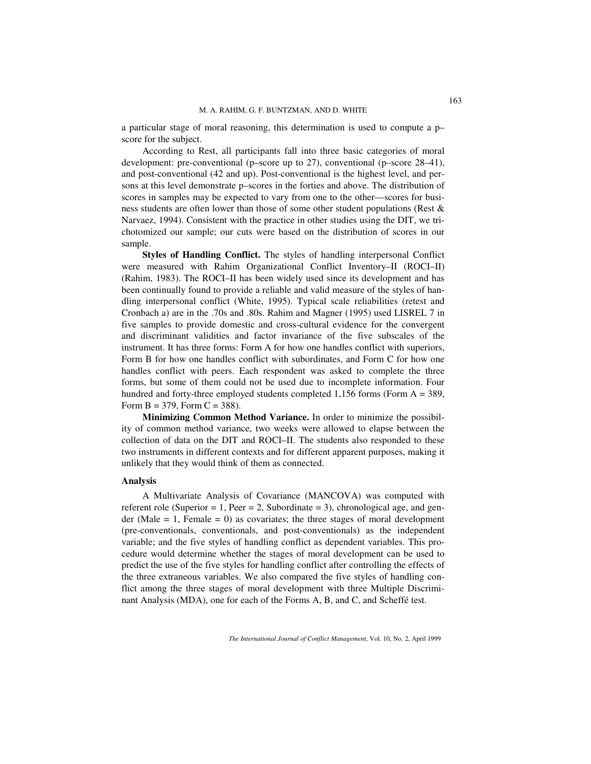a particular stage of moral reasoning, this determination is used to compute a p– score for the subject.

According to Rest, all participants fall into three basic categories of moral development: pre-conventional (p–score up to 27), conventional (p–score 28–41), and post-conventional (42 and up). Post-conventional is the highest level, and persons at this level demonstrate p–scores in the forties and above. The distribution of scores in samples may be expected to vary from one to the other––scores for business students are often lower than those of some other student populations (Rest & Narvaez, 1994). Consistent with the practice in other studies using the DIT, we trichotomized our sample; our cuts were based on the distribution of scores in our sample.

**Styles of Handling Conflict.** The styles of handling interpersonal Conflict were measured with Rahim Organizational Conflict Inventory–II (ROCI–II) (Rahim, 1983). The ROCI–II has been widely used since its development and has been continually found to provide a reliable and valid measure of the styles of handling interpersonal conflict (White, 1995). Typical scale reliabilities (retest and Cronbach a) are in the .70s and .80s. Rahim and Magner (1995) used LISREL 7 in five samples to provide domestic and cross-cultural evidence for the convergent and discriminant validities and factor invariance of the five subscales of the instrument. It has three forms: Form A for how one handles conflict with superiors, Form B for how one handles conflict with subordinates, and Form C for how one handles conflict with peers. Each respondent was asked to complete the three forms, but some of them could not be used due to incomplete information. Four hundred and forty-three employed students completed  $1,156$  forms (Form  $A = 389$ , Form  $B = 379$ , Form  $C = 388$ ).

**Minimizing Common Method Variance.** In order to minimize the possibility of common method variance, two weeks were allowed to elapse between the collection of data on the DIT and ROCI–II. The students also responded to these two instruments in different contexts and for different apparent purposes, making it unlikely that they would think of them as connected.

#### **Analysis**

A Multivariate Analysis of Covariance (MANCOVA) was computed with referent role (Superior = 1, Peer = 2, Subordinate = 3), chronological age, and gender (Male  $= 1$ , Female  $= 0$ ) as covariates; the three stages of moral development (pre-conventionals, conventionals, and post-conventionals) as the independent variable; and the five styles of handling conflict as dependent variables. This procedure would determine whether the stages of moral development can be used to predict the use of the five styles for handling conflict after controlling the effects of the three extraneous variables. We also compared the five styles of handling conflict among the three stages of moral development with three Multiple Discriminant Analysis (MDA), one for each of the Forms A, B, and C, and Scheffé test.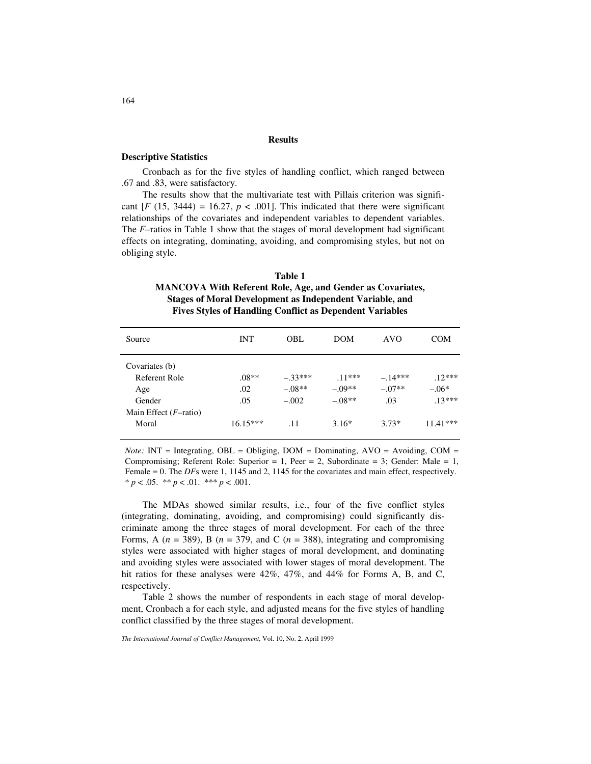#### **Results**

## **Descriptive Statistics**

Cronbach as for the five styles of handling conflict, which ranged between .67 and .83, were satisfactory.

The results show that the multivariate test with Pillais criterion was significant  $[F (15, 3444) = 16.27, p < .001]$ . This indicated that there were significant relationships of the covariates and independent variables to dependent variables. The *F*–ratios in Table 1 show that the stages of moral development had significant effects on integrating, dominating, avoiding, and compromising styles, but not on obliging style.

# **Table 1 MANCOVA With Referent Role, Age, and Gender as Covariates, Stages of Moral Development as Independent Variable, and Fives Styles of Handling Conflict as Dependent Variables**

| Source                   | <b>INT</b> | OBL.     | <b>DOM</b> | <b>AVO</b> | <b>COM</b> |  |
|--------------------------|------------|----------|------------|------------|------------|--|
| Covariates (b)           |            |          |            |            |            |  |
| Referent Role            | $.08**$    | $-33***$ | $11***$    | $-.14***$  | $12***$    |  |
| Age                      | .02        | $-.08**$ | $-.09**$   | $-.07**$   | $-.06*$    |  |
| Gender                   | .05        | $-.002$  | $-.08**$   | .03        | $.13***$   |  |
| Main Effect $(F$ -ratio) |            |          |            |            |            |  |
| Moral                    | $16.15***$ | .11      | $3.16*$    | $3.73*$    | $11.41***$ |  |

*Note:* INT = Integrating, OBL = Obliging, DOM = Dominating,  $AVO =$  Avoiding,  $COM =$ Compromising; Referent Role: Superior = 1, Peer = 2, Subordinate = 3; Gender: Male = 1, Female = 0. The *DF*s were 1, 1145 and 2, 1145 for the covariates and main effect, respectively.  $* p < .05.$  \*\*  $p < .01.$  \*\*\*  $p < .001.$ 

The MDAs showed similar results, i.e., four of the five conflict styles (integrating, dominating, avoiding, and compromising) could significantly discriminate among the three stages of moral development. For each of the three Forms, A  $(n = 389)$ , B  $(n = 379)$ , and C  $(n = 388)$ , integrating and compromising styles were associated with higher stages of moral development, and dominating and avoiding styles were associated with lower stages of moral development. The hit ratios for these analyses were 42%, 47%, and 44% for Forms A, B, and C, respectively.

Table 2 shows the number of respondents in each stage of moral development, Cronbach a for each style, and adjusted means for the five styles of handling conflict classified by the three stages of moral development.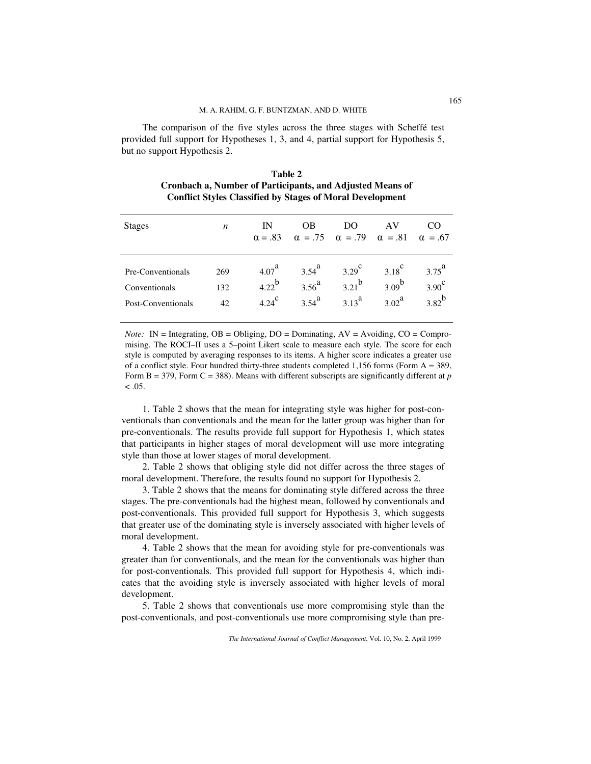The comparison of the five styles across the three stages with Scheffé test provided full support for Hypotheses 1, 3, and 4, partial support for Hypothesis 5, but no support Hypothesis 2.

| Table 2                                                          |
|------------------------------------------------------------------|
| Cronbach a, Number of Participants, and Adjusted Means of        |
| <b>Conflict Styles Classified by Stages of Moral Development</b> |

| <b>Stages</b>      | n   | IN<br>$\alpha = .83$ | 0 <sub>B</sub><br>$\alpha = .75 \quad \alpha = .79 \quad \alpha = .81 \quad \alpha = .67$ | DO              | AV                |                |
|--------------------|-----|----------------------|-------------------------------------------------------------------------------------------|-----------------|-------------------|----------------|
| Pre-Conventionals  | 269 | 4.07 <sup>d</sup>    | $3.54^{a}$                                                                                | $3.29^\text{c}$ | $3.18^\circ$      | $3.75^{\rm a}$ |
| Conventionals      | 132 | $4.22^{b}$           | $3.56^{a}$                                                                                | $3.21^{b}$      | $3.09^{b}$        | $3.90^\circ$   |
| Post-Conventionals | 42  | $4.24^\text{c}$      | $3.54^{a}$                                                                                | $3.13^{a}$      | 3.02 <sup>a</sup> | $3.82^{b}$     |

*Note:* IN = Integrating,  $OB = Obliging$ ,  $DO = Dominating$ ,  $AV = Avoiding$ ,  $CO = Compro$ mising. The ROCI–II uses a 5–point Likert scale to measure each style. The score for each style is computed by averaging responses to its items. A higher score indicates a greater use of a conflict style. Four hundred thirty-three students completed 1,156 forms (Form A = 389, Form B = 379, Form C = 388). Means with different subscripts are significantly different at *p*  $< 0.05$ .

1. Table 2 shows that the mean for integrating style was higher for post-conventionals than conventionals and the mean for the latter group was higher than for pre-conventionals. The results provide full support for Hypothesis 1, which states that participants in higher stages of moral development will use more integrating style than those at lower stages of moral development.

2. Table 2 shows that obliging style did not differ across the three stages of moral development. Therefore, the results found no support for Hypothesis 2.

3. Table 2 shows that the means for dominating style differed across the three stages. The pre-conventionals had the highest mean, followed by conventionals and post-conventionals. This provided full support for Hypothesis 3, which suggests that greater use of the dominating style is inversely associated with higher levels of moral development.

4. Table 2 shows that the mean for avoiding style for pre-conventionals was greater than for conventionals, and the mean for the conventionals was higher than for post-conventionals. This provided full support for Hypothesis 4, which indicates that the avoiding style is inversely associated with higher levels of moral development.

5. Table 2 shows that conventionals use more compromising style than the post-conventionals, and post-conventionals use more compromising style than pre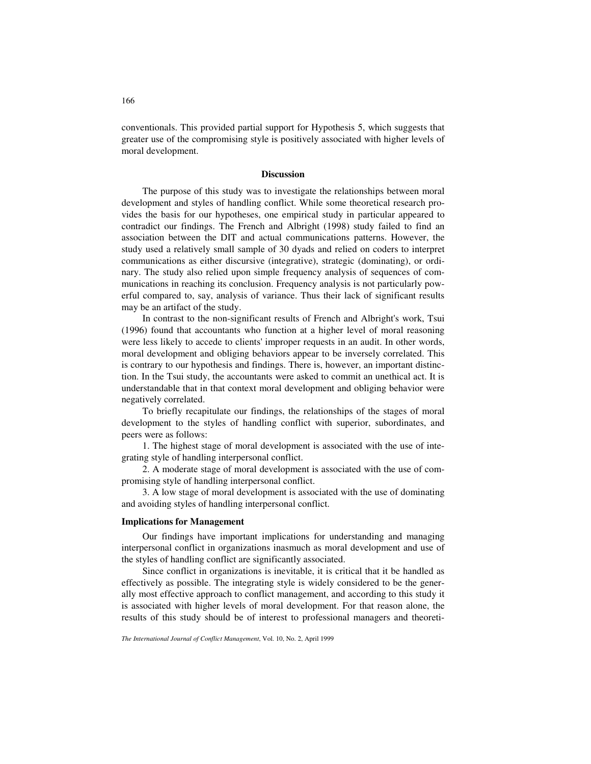conventionals. This provided partial support for Hypothesis 5, which suggests that greater use of the compromising style is positively associated with higher levels of moral development.

### **Discussion**

The purpose of this study was to investigate the relationships between moral development and styles of handling conflict. While some theoretical research provides the basis for our hypotheses, one empirical study in particular appeared to contradict our findings. The French and Albright (1998) study failed to find an association between the DIT and actual communications patterns. However, the study used a relatively small sample of 30 dyads and relied on coders to interpret communications as either discursive (integrative), strategic (dominating), or ordinary. The study also relied upon simple frequency analysis of sequences of communications in reaching its conclusion. Frequency analysis is not particularly powerful compared to, say, analysis of variance. Thus their lack of significant results may be an artifact of the study.

In contrast to the non-significant results of French and Albright's work, Tsui (1996) found that accountants who function at a higher level of moral reasoning were less likely to accede to clients' improper requests in an audit. In other words, moral development and obliging behaviors appear to be inversely correlated. This is contrary to our hypothesis and findings. There is, however, an important distinction. In the Tsui study, the accountants were asked to commit an unethical act. It is understandable that in that context moral development and obliging behavior were negatively correlated.

To briefly recapitulate our findings, the relationships of the stages of moral development to the styles of handling conflict with superior, subordinates, and peers were as follows:

1. The highest stage of moral development is associated with the use of integrating style of handling interpersonal conflict.

2. A moderate stage of moral development is associated with the use of compromising style of handling interpersonal conflict.

3. A low stage of moral development is associated with the use of dominating and avoiding styles of handling interpersonal conflict.

#### **Implications for Management**

Our findings have important implications for understanding and managing interpersonal conflict in organizations inasmuch as moral development and use of the styles of handling conflict are significantly associated.

Since conflict in organizations is inevitable, it is critical that it be handled as effectively as possible. The integrating style is widely considered to be the generally most effective approach to conflict management, and according to this study it is associated with higher levels of moral development. For that reason alone, the results of this study should be of interest to professional managers and theoreti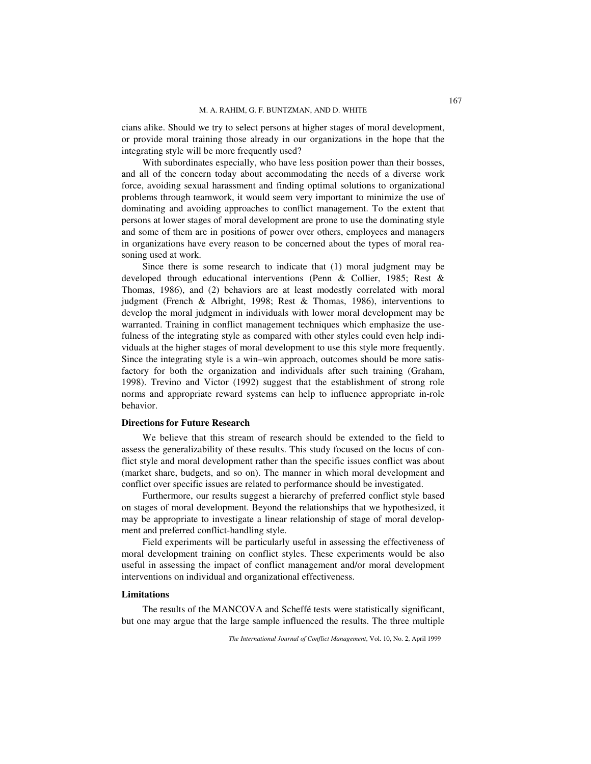cians alike. Should we try to select persons at higher stages of moral development, or provide moral training those already in our organizations in the hope that the integrating style will be more frequently used?

With subordinates especially, who have less position power than their bosses, and all of the concern today about accommodating the needs of a diverse work force, avoiding sexual harassment and finding optimal solutions to organizational problems through teamwork, it would seem very important to minimize the use of dominating and avoiding approaches to conflict management. To the extent that persons at lower stages of moral development are prone to use the dominating style and some of them are in positions of power over others, employees and managers in organizations have every reason to be concerned about the types of moral reasoning used at work.

Since there is some research to indicate that (1) moral judgment may be developed through educational interventions (Penn & Collier, 1985; Rest & Thomas, 1986), and (2) behaviors are at least modestly correlated with moral judgment (French & Albright, 1998; Rest & Thomas, 1986), interventions to develop the moral judgment in individuals with lower moral development may be warranted. Training in conflict management techniques which emphasize the usefulness of the integrating style as compared with other styles could even help individuals at the higher stages of moral development to use this style more frequently. Since the integrating style is a win–win approach, outcomes should be more satisfactory for both the organization and individuals after such training (Graham, 1998). Trevino and Victor (1992) suggest that the establishment of strong role norms and appropriate reward systems can help to influence appropriate in-role behavior.

#### **Directions for Future Research**

We believe that this stream of research should be extended to the field to assess the generalizability of these results. This study focused on the locus of conflict style and moral development rather than the specific issues conflict was about (market share, budgets, and so on). The manner in which moral development and conflict over specific issues are related to performance should be investigated.

Furthermore, our results suggest a hierarchy of preferred conflict style based on stages of moral development. Beyond the relationships that we hypothesized, it may be appropriate to investigate a linear relationship of stage of moral development and preferred conflict-handling style.

Field experiments will be particularly useful in assessing the effectiveness of moral development training on conflict styles. These experiments would be also useful in assessing the impact of conflict management and/or moral development interventions on individual and organizational effectiveness.

#### **Limitations**

The results of the MANCOVA and Scheffé tests were statistically significant, but one may argue that the large sample influenced the results. The three multiple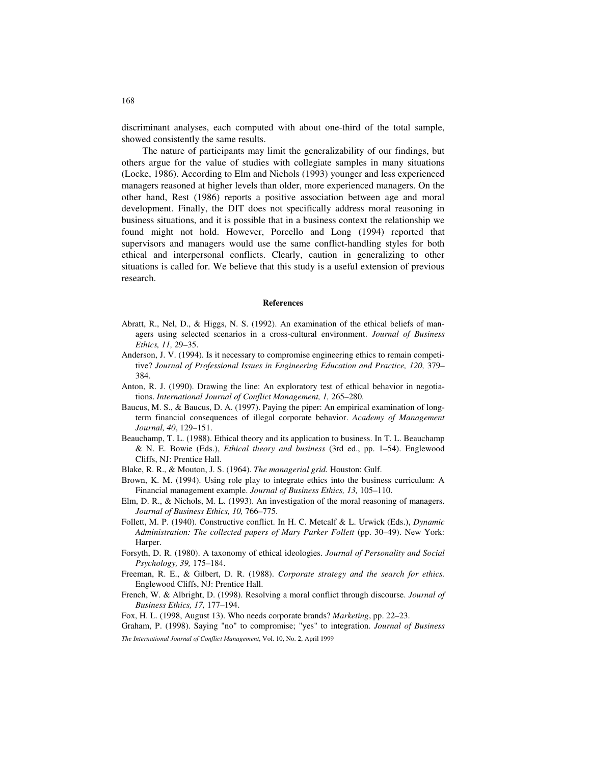discriminant analyses, each computed with about one-third of the total sample, showed consistently the same results.

The nature of participants may limit the generalizability of our findings, but others argue for the value of studies with collegiate samples in many situations (Locke, 1986). According to Elm and Nichols (1993) younger and less experienced managers reasoned at higher levels than older, more experienced managers. On the other hand, Rest (1986) reports a positive association between age and moral development. Finally, the DIT does not specifically address moral reasoning in business situations, and it is possible that in a business context the relationship we found might not hold. However, Porcello and Long (1994) reported that supervisors and managers would use the same conflict-handling styles for both ethical and interpersonal conflicts. Clearly, caution in generalizing to other situations is called for. We believe that this study is a useful extension of previous research.

#### **References**

- Abratt, R., Nel, D., & Higgs, N. S. (1992). An examination of the ethical beliefs of managers using selected scenarios in a cross-cultural environment. *Journal of Business Ethics, 11,* 29–35.
- Anderson, J. V. (1994). Is it necessary to compromise engineering ethics to remain competitive? *Journal of Professional Issues in Engineering Education and Practice, 120,* 379– 384.
- Anton, R. J. (1990). Drawing the line: An exploratory test of ethical behavior in negotiations. *International Journal of Conflict Management, 1,* 265–280.
- Baucus, M. S., & Baucus, D. A. (1997). Paying the piper: An empirical examination of longterm financial consequences of illegal corporate behavior. *Academy of Management Journal, 40*, 129–151.
- Beauchamp, T. L. (1988). Ethical theory and its application to business. In T. L. Beauchamp & N. E. Bowie (Eds.), *Ethical theory and business* (3rd ed., pp. 1–54). Englewood Cliffs, NJ: Prentice Hall.
- Blake, R. R., & Mouton, J. S. (1964). *The managerial grid.* Houston: Gulf.
- Brown, K. M. (1994). Using role play to integrate ethics into the business curriculum: A Financial management example. *Journal of Business Ethics, 13,* 105–110.
- Elm, D. R., & Nichols, M. L. (1993). An investigation of the moral reasoning of managers. *Journal of Business Ethics, 10,* 766–775.
- Follett, M. P. (1940). Constructive conflict. In H. C. Metcalf & L. Urwick (Eds.), *Dynamic Administration: The collected papers of Mary Parker Follett* (pp. 30–49). New York: Harper.
- Forsyth, D. R. (1980). A taxonomy of ethical ideologies. *Journal of Personality and Social Psychology, 39,* 175–184.
- Freeman, R. E., & Gilbert, D. R. (1988). *Corporate strategy and the search for ethics.* Englewood Cliffs, NJ: Prentice Hall.
- French, W. & Albright, D. (1998). Resolving a moral conflict through discourse. *Journal of Business Ethics, 17,* 177–194.

Fox, H. L. (1998, August 13). Who needs corporate brands? *Marketing*, pp. 22–23.

*The International Journal of Conflict Management*, Vol. 10, No. 2, April 1999 Graham, P. (1998). Saying "no" to compromise; "yes" to integration. *Journal of Business*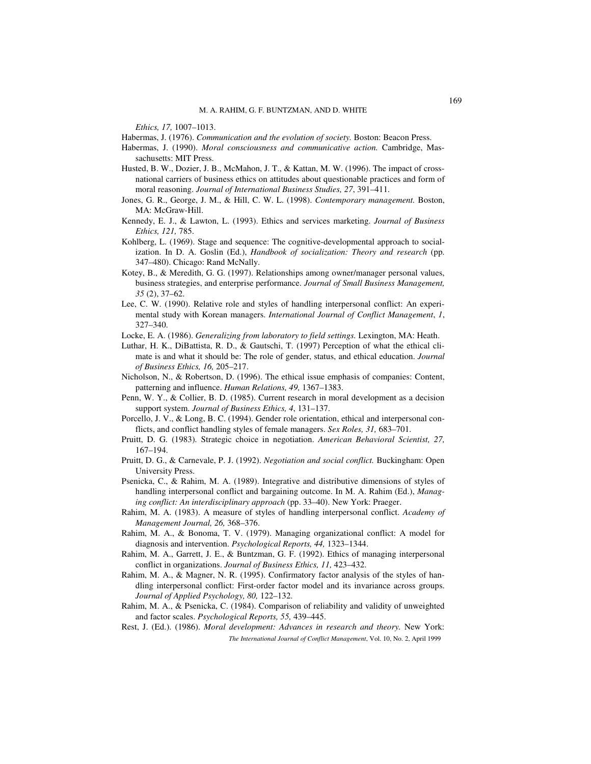*Ethics, 17,* 1007–1013.

Habermas, J. (1976). *Communication and the evolution of society.* Boston: Beacon Press.

- Habermas, J. (1990). *Moral consciousness and communicative action.* Cambridge, Massachusetts: MIT Press.
- Husted, B. W., Dozier, J. B., McMahon, J. T., & Kattan, M. W. (1996). The impact of crossnational carriers of business ethics on attitudes about questionable practices and form of moral reasoning. *Journal of International Business Studies, 27*, 391–411.
- Jones, G. R., George, J. M., & Hill, C. W. L. (1998). *Contemporary management.* Boston, MA: McGraw-Hill.
- Kennedy, E. J., & Lawton, L. (1993). Ethics and services marketing. *Journal of Business Ethics, 121,* 785.
- Kohlberg, L. (1969). Stage and sequence: The cognitive-developmental approach to socialization. In D. A. Goslin (Ed.), *Handbook of socialization: Theory and research* (pp. 347–480). Chicago: Rand McNally.
- Kotey, B., & Meredith, G. G. (1997). Relationships among owner/manager personal values, business strategies, and enterprise performance. *Journal of Small Business Management, 35* (2), 37–62.
- Lee, C. W. (1990). Relative role and styles of handling interpersonal conflict: An experimental study with Korean managers. *International Journal of Conflict Management*, *1*, 327–340.
- Locke, E. A. (1986). *Generalizing from laboratory to field settings.* Lexington, MA: Heath.
- Luthar, H. K., DiBattista, R. D., & Gautschi, T. (1997) Perception of what the ethical climate is and what it should be: The role of gender, status, and ethical education. *Journal of Business Ethics, 16,* 205–217.
- Nicholson, N., & Robertson, D. (1996). The ethical issue emphasis of companies: Content, patterning and influence. *Human Relations, 49,* 1367–1383.
- Penn, W. Y., & Collier, B. D. (1985). Current research in moral development as a decision support system. *Journal of Business Ethics, 4*, 131–137.
- Porcello, J. V., & Long, B. C. (1994). Gender role orientation, ethical and interpersonal conflicts, and conflict handling styles of female managers. *Sex Roles, 31,* 683–701.
- Pruitt, D. G. (1983). Strategic choice in negotiation. *American Behavioral Scientist, 27,* 167–194.
- Pruitt, D. G., & Carnevale, P. J. (1992). *Negotiation and social conflict.* Buckingham: Open University Press.
- Psenicka, C., & Rahim, M. A. (1989). Integrative and distributive dimensions of styles of handling interpersonal conflict and bargaining outcome. In M. A. Rahim (Ed.), *Managing conflict: An interdisciplinary approach* (pp. 33–40). New York: Praeger.
- Rahim, M. A. (1983). A measure of styles of handling interpersonal conflict. *Academy of Management Journal, 26,* 368–376.
- Rahim, M. A., & Bonoma, T. V. (1979). Managing organizational conflict: A model for diagnosis and intervention. *Psychological Reports, 44,* 1323–1344.
- Rahim, M. A., Garrett, J. E., & Buntzman, G. F. (1992). Ethics of managing interpersonal conflict in organizations. *Journal of Business Ethics, 11,* 423–432.
- Rahim, M. A., & Magner, N. R. (1995). Confirmatory factor analysis of the styles of handling interpersonal conflict: First-order factor model and its invariance across groups. *Journal of Applied Psychology, 80,* 122–132.
- Rahim, M. A., & Psenicka, C. (1984). Comparison of reliability and validity of unweighted and factor scales. *Psychological Reports, 55,* 439–445.
- *The International Journal of Conflict Management*, Vol. 10, No. 2, April 1999 Rest, J. (Ed.). (1986). *Moral development: Advances in research and theory.* New York: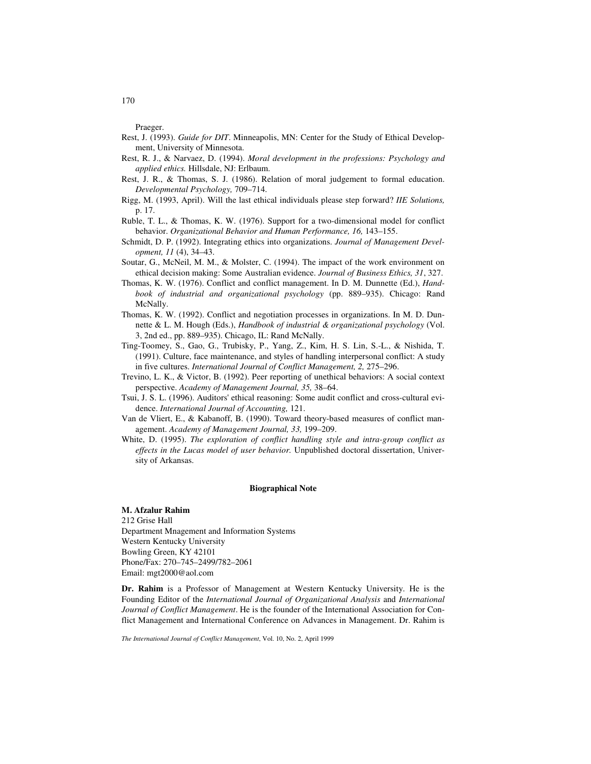Praeger.

- Rest, J. (1993). *Guide for DIT*. Minneapolis, MN: Center for the Study of Ethical Development, University of Minnesota.
- Rest, R. J., & Narvaez, D. (1994). *Moral development in the professions: Psychology and applied ethics.* Hillsdale, NJ: Erlbaum.
- Rest, J. R., & Thomas, S. J. (1986). Relation of moral judgement to formal education. *Developmental Psychology,* 709–714.
- Rigg, M. (1993, April). Will the last ethical individuals please step forward? *IIE Solutions,*  p. 17.
- Ruble, T. L., & Thomas, K. W. (1976). Support for a two-dimensional model for conflict behavior. *Organizational Behavior and Human Performance, 16,* 143–155.
- Schmidt, D. P. (1992). Integrating ethics into organizations. *Journal of Management Development, 11* (4), 34–43.
- Soutar, G., McNeil, M. M., & Molster, C. (1994). The impact of the work environment on ethical decision making: Some Australian evidence. *Journal of Business Ethics, 31*, 327.
- Thomas, K. W. (1976). Conflict and conflict management. In D. M. Dunnette (Ed.), *Handbook of industrial and organizational psychology* (pp. 889–935). Chicago: Rand McNally.
- Thomas, K. W. (1992). Conflict and negotiation processes in organizations. In M. D. Dunnette & L. M. Hough (Eds.), *Handbook of industrial & organizational psychology* (Vol. 3, 2nd ed., pp. 889–935). Chicago, IL: Rand McNally.
- Ting-Toomey, S., Gao, G., Trubisky, P., Yang, Z., Kim, H. S. Lin, S.-L., & Nishida, T. (1991). Culture, face maintenance, and styles of handling interpersonal conflict: A study in five cultures. *International Journal of Conflict Management, 2,* 275–296.
- Trevino, L. K., & Victor, B. (1992). Peer reporting of unethical behaviors: A social context perspective. *Academy of Management Journal, 35,* 38–64.
- Tsui, J. S. L. (1996). Auditors' ethical reasoning: Some audit conflict and cross-cultural evidence. *International Journal of Accounting,* 121.
- Van de Vliert, E., & Kabanoff, B. (1990). Toward theory-based measures of conflict management. *Academy of Management Journal, 33,* 199–209.
- White, D. (1995). *The exploration of conflict handling style and intra-group conflict as effects in the Lucas model of user behavior.* Unpublished doctoral dissertation, University of Arkansas.

#### **Biographical Note**

# **M. Afzalur Rahim**

212 Grise Hall Department Mnagement and Information Systems Western Kentucky University Bowling Green, KY 42101 Phone/Fax: 270–745–2499/782–2061 Email: mgt2000@aol.com

**Dr. Rahim** is a Professor of Management at Western Kentucky University. He is the Founding Editor of the *International Journal of Organizational Analysis* and *International Journal of Conflict Management*. He is the founder of the International Association for Conflict Management and International Conference on Advances in Management. Dr. Rahim is